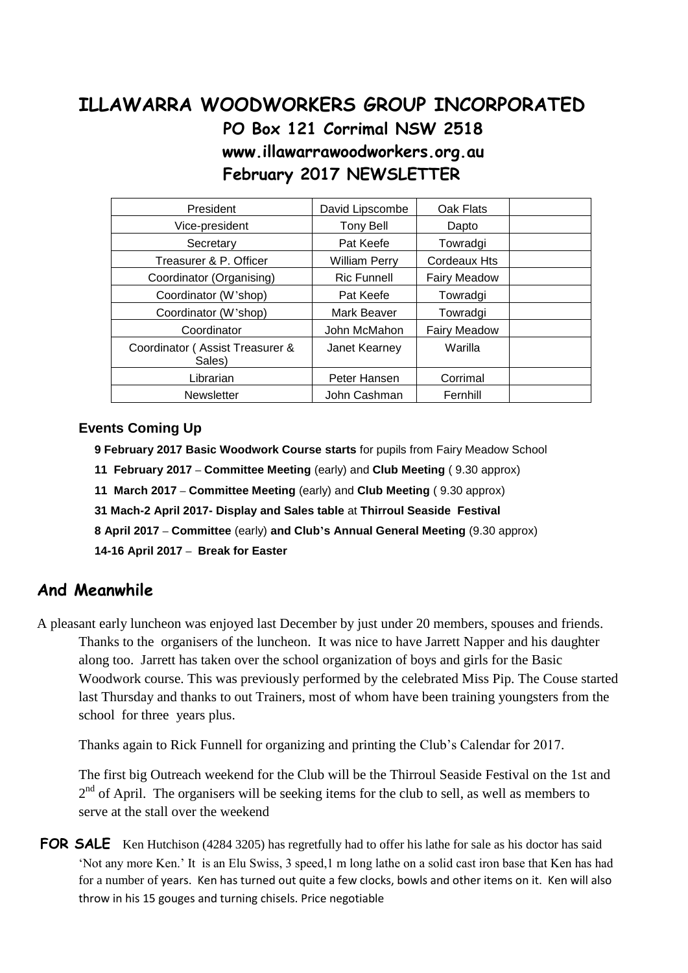# **ILLAWARRA WOODWORKERS GROUP INCORPORATED PO Box 121 Corrimal NSW 2518 www.illawarrawoodworkers.org.au February 2017 NEWSLETTER**

| President                                 | David Lipscombe      | Oak Flats           |  |
|-------------------------------------------|----------------------|---------------------|--|
| Vice-president                            | Tony Bell            | Dapto               |  |
| Secretary                                 | Pat Keefe            | Towradgi            |  |
| Treasurer & P. Officer                    | <b>William Perry</b> | Cordeaux Hts        |  |
| Coordinator (Organising)                  | <b>Ric Funnell</b>   | <b>Fairy Meadow</b> |  |
| Coordinator (W'shop)                      | Pat Keefe            | Towradgi            |  |
| Coordinator (W'shop)                      | Mark Beaver          | Towradgi            |  |
| Coordinator                               | John McMahon         | <b>Fairy Meadow</b> |  |
| Coordinator (Assist Treasurer &<br>Sales) | Janet Kearney        | Warilla             |  |
| Librarian                                 | Peter Hansen         | Corrimal            |  |
| <b>Newsletter</b>                         | John Cashman         | Fernhill            |  |

#### **Events Coming Up**

 **9 February 2017 Basic Woodwork Course starts** for pupils from Fairy Meadow School

- **11 February 2017 – Committee Meeting** (early) and **Club Meeting** ( 9.30 approx)
- **11 March 2017 – Committee Meeting** (early) and **Club Meeting** ( 9.30 approx)

 **31 Mach-2 April 2017- Display and Sales table** at **Thirroul Seaside Festival**

 **8 April 2017 – Committee** (early) **and Club's Annual General Meeting** (9.30 approx)

**14-16 April 2017 – Break for Easter**

### **And Meanwhile**

A pleasant early luncheon was enjoyed last December by just under 20 members, spouses and friends. Thanks to the organisers of the luncheon. It was nice to have Jarrett Napper and his daughter along too. Jarrett has taken over the school organization of boys and girls for the Basic Woodwork course. This was previously performed by the celebrated Miss Pip. The Couse started last Thursday and thanks to out Trainers, most of whom have been training youngsters from the school for three years plus.

Thanks again to Rick Funnell for organizing and printing the Club's Calendar for 2017.

The first big Outreach weekend for the Club will be the Thirroul Seaside Festival on the 1st and  $2<sup>nd</sup>$  of April. The organisers will be seeking items for the club to sell, as well as members to serve at the stall over the weekend

**FOR SALE** Ken Hutchison (4284 3205) has regretfully had to offer his lathe for sale as his doctor has said 'Not any more Ken.' It is an Elu Swiss, 3 speed,1 m long lathe on a solid cast iron base that Ken has had for a number of years. Ken has turned out quite a few clocks, bowls and other items on it. Ken will also throw in his 15 gouges and turning chisels. Price negotiable